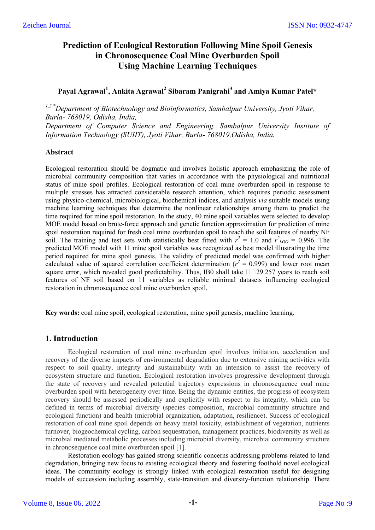# **Prediction of Ecological Restoration Following Mine Spoil Genesis in Chronosequence Coal Mine Overburden Spoil Using Machine Learning Techniques**

# **Payal Agrawal<sup>1</sup> , Ankita Agrawal<sup>2</sup> Sibaram Panigrahi<sup>3</sup> and Amiya Kumar Patel\***

*1,2 \*Department of Biotechnology and Bioinformatics, Sambalpur University, Jyoti Vihar, Burla- 768019, Odisha, India, Department of Computer Science and Engineering. Sambalpur University Institute of Information Technology (SUIIT), Jyoti Vihar, Burla- 768019,Odisha, India.*

# **Abstract**

Ecological restoration should be dogmatic and involves holistic approach emphasizing the role of microbial community composition that varies in accordance with the physiological and nutritional status of mine spoil profiles. Ecological restoration of coal mine overburden spoil in response to multiple stresses has attracted considerable research attention, which requires periodic assessment using physico-chemical, microbiological, biochemical indices, and analysis *via* suitable models using machine learning techniques that determine the nonlinear relationships among them to predict the time required for mine spoil restoration. In the study, 40 mine spoil variables were selected to develop MOE model based on brute-force approach and genetic function approximation for prediction of mine spoil restoration required for fresh coal mine overburden spoil to reach the soil features of nearby NF soil. The training and test sets with statistically best fitted with  $r^2 = 1.0$  and  $r^2_{LOO} = 0.996$ . The predicted MOE model with 11 mine spoil variables was recognized as best model illustrating the time period required for mine spoil genesis. The validity of predicted model was confirmed with higher calculated value of squared correlation coefficient determination ( $r^2 = 0.999$ ) and lower root mean square error, which revealed good predictability. Thus, IB0 shall take  $\Box$  $\Box$ 29.257 years to reach soil features of NF soil based on 11 variables as reliable minimal datasets influencing ecological restoration in chronosequence coal mine overburden spoil.

**Key words:** coal mine spoil, ecological restoration, mine spoil genesis, machine learning.

# **1. Introduction**

Ecological restoration of coal mine overburden spoil involves initiation, acceleration and recovery of the diverse impacts of environmental degradation due to extensive mining activities with respect to soil quality, integrity and sustainability with an intension to assist the recovery of ecosystem structure and function. Ecological restoration involves progressive development through the state of recovery and revealed potential trajectory expressions in chronosequence coal mine overburden spoil with heterogeneity over time. Being the dynamic entities, the progress of ecosystem recovery should be assessed periodically and explicitly with respect to its integrity, which can be defined in terms of microbial diversity (species composition, microbial community structure and ecological function) and health (microbial organization, adaptation, resilience). Success of ecological restoration of coal mine spoil depends on heavy metal toxicity, establishment of vegetation, nutrients turnover, biogeochemical cycling, carbon sequestration, management practices, biodiversity as well as microbial mediated metabolic processes including microbial diversity, microbial community structure in chronosequence coal mine overburden spoil [1].

Restoration ecology has gained strong scientific concerns addressing problems related to land degradation, bringing new focus to existing ecological theory and fostering foothold novel ecological ideas. The community ecology is strongly linked with ecological restoration useful for designing models of succession including assembly, state-transition and diversity-function relationship. There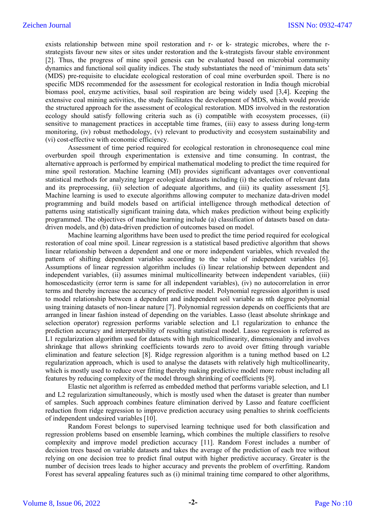exists relationship between mine spoil restoration and r- or k- strategic microbes, where the rstrategists favour new sites or sites under restoration and the k-strategists favour stable environment [2]. Thus, the progress of mine spoil genesis can be evaluated based on microbial community dynamics and functional soil quality indices. The study substantiates the need of 'minimum data sets' (MDS) pre-requisite to elucidate ecological restoration of coal mine overburden spoil. There is no specific MDS recommended for the assessment for ecological restoration in India though microbial biomass pool, enzyme activities, basal soil respiration are being widely used [3,4]. Keeping the extensive coal mining activities, the study facilitates the development of MDS, which would provide the structured approach for the assessment of ecological restoration. MDS involved in the restoration ecology should satisfy following criteria such as (i) compatible with ecosystem processes, (ii) sensitive to management practices in acceptable time frames, (iii) easy to assess during long-term monitoring, (iv) robust methodology, (v) relevant to productivity and ecosystem sustainability and (vi) cost-effective with economic efficiency.

Assessment of time period required for ecological restoration in chronosequence coal mine overburden spoil through experimentation is extensive and time consuming. In contrast, the alternative approach is performed by empirical mathematical modeling to predict the time required for mine spoil restoration. Machine learning (MI) provides significant advantages over conventional statistical methods for analyzing larger ecological datasets including (i) the selection of relevant data and its preprocessing, (ii) selection of adequate algorithms, and (iii) its quality assessment [5]. Machine learning is used to execute algorithms allowing computer to mechanize data-driven model programming and build models based on artificial intelligence through methodical detection of patterns using statistically significant training data, which makes prediction without being explicitly programmed. The objectives of machine learning include (a) classification of datasets based on datadriven models, and (b) data-driven prediction of outcomes based on model.

Machine learning algorithms have been used to predict the time period required for ecological restoration of coal mine spoil. Linear regression is a statistical based predictive algorithm that shows linear relationship between a dependent and one or more independent variables, which revealed the pattern of shifting dependent variables according to the value of independent variables [6]. Assumptions of linear regression algorithm includes (i) linear relationship between dependent and independent variables, (ii) assumes minimal multicollinearity between independent variables, (iii) homoscedasticity (error term is same for all independent variables), (iv) no autocorrelation in error terms and thereby increase the accuracy of predictive model. Polynomial regression algorithm is used to model relationship between a dependent and independent soil variable as nth degree polynomial using training datasets of non-linear nature [7]. Polynomial regression depends on coefficients that are arranged in linear fashion instead of depending on the variables. Lasso (least absolute shrinkage and selection operator) regression performs variable selection and L1 regularization to enhance the prediction accuracy and interpretability of resulting statistical model. Lasso regression is referred as L1 regularization algorithm used for datasets with high multicollinearity, dimensionality and involves shrinkage that allows shrinking coefficients towards zero to avoid over fitting through variable elimination and feature selection [8]. Ridge regression algorithm is a tuning method based on L2 regularization approach, which is used to analyse the datasets with relatively high multicollinearity, which is mostly used to reduce over fitting thereby making predictive model more robust including all features by reducing complexity of the model through shrinking of coefficients [9].

Elastic net algorithm is referred as embedded method that performs variable selection, and L1 and L2 regularization simultaneously, which is mostly used when the dataset is greater than number of samples. Such approach combines feature elimination derived by Lasso and feature coefficient reduction from ridge regression to improve prediction accuracy using penalties to shrink coefficients of independent undesired variables [10].

Random Forest belongs to supervised learning technique used for both classification and regression problems based on ensemble learning**,** which combines the multiple classifiers to resolve complexity and improve model prediction accuracy [11]. Random Forest includes a number of decision trees based on variable datasets and takes the average of the prediction of each tree without relying on one decision tree to predict final output with higher predictive accuracy. Greater is the number of decision trees leads to higher accuracy and prevents the problem of overfitting. Random Forest has several appealing features such as (i) minimal training time compared to other algorithms,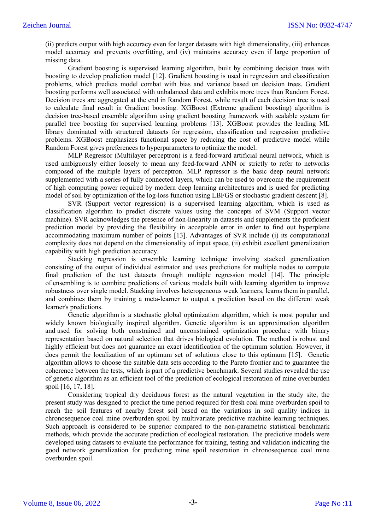(ii) predicts output with high accuracy even for larger datasets with high dimensionality, (iii) enhances model accuracy and prevents overfitting, and (iv) maintains accuracy even if large proportion of missing data.

Gradient boosting is supervised learning algorithm, built by combining decision trees with boosting to develop prediction model [12]. Gradient boosting is used in regression and classification problems, which predicts model combat with bias and variance based on decision trees. Gradient boosting performs well associated with unbalanced data and exhibits more trees than Random Forest. Decision trees are aggregated at the end in Random Forest, while result of each decision tree is used to calculate final result in Gradient boosting. XGBoost (Extreme gradient boosting) algorithm is decision tree-based ensemble algorithm using gradient boosting framework with scalable system for parallel tree boosting for supervised learning problems [13]. XGBoost provides the leading ML library dominated with structured datasets for regression, classification and regression predictive problems. XGBoost emphasizes functional space by reducing the cost of predictive model while Random Forest gives preferences to hyperparameters to optimize the model.

MLP Regressor (Multilayer perceptron) is a feed-forward artificial neural network, which is used ambiguously either loosely to mean any feed-forward ANN or strictly to refer to networks composed of the multiple layers of perceptron. MLP repressor is the basic deep neural network supplemented with a series of fully connected layers, which can be used to overcome the requirement of high computing power required by modern deep learning architectures and is used for predicting model of soil by optimization of the log-loss function using LBFGS or stochastic gradient descent [8].

SVR (Support vector regression) is a supervised learning algorithm, which is used as classification algorithm to predict discrete values using the concepts of SVM (Support vector machine). SVR acknowledges the presence of non-linearity in datasets and supplements the proficient prediction model by providing the flexibility in acceptable error in order to find out hyperplane accommodating maximum number of points [13]. Advantages of SVR include (i) its computational complexity does not depend on the dimensionality of input space, (ii) exhibit excellent generalization capability with high prediction accuracy.

Stacking regression is ensemble learning technique involving stacked generalization consisting of the output of individual estimator and uses predictions for multiple nodes to compute final prediction of the test datasets through multiple regression model [14]. The principle of ensembling is to combine predictions of various models built with learning algorithm to improve robustness over single model. Stacking involves heterogeneous weak learners, learns them in parallel, and combines them by training a meta-learner to output a prediction based on the different weak learner's predictions.

Genetic algorithm is a stochastic global optimization algorithm, which is most popular and widely known biologically inspired algorithm. Genetic algorithm is an approximation algorithm and used for solving both constrained and unconstrained optimization procedure with binary representation based on natural selection that drives biological evolution. The method is robust and highly efficient but does not guarantee an exact identification of the optimum solution. However, it does permit the localization of an optimum set of solutions close to this optimum [15]. Genetic algorithm allows to choose the suitable data sets according to the Pareto frontier and to guarantee the coherence between the tests, which is part of a predictive benchmark. Several studies revealed the use of genetic algorithm as an efficient tool of the prediction of ecological restoration of mine overburden spoil [16, 17, 18].

Considering tropical dry deciduous forest as the natural vegetation in the study site, the present study was designed to predict the time period required for fresh coal mine overburden spoil to reach the soil features of nearby forest soil based on the variations in soil quality indices in chronosequence coal mine overburden spoil by multivariate predictive machine learning techniques. Such approach is considered to be superior compared to the non-parametric statistical benchmark methods, which provide the accurate prediction of ecological restoration. The predictive models were developed using datasets to evaluate the performance for training, testing and validation indicating the good network generalization for predicting mine spoil restoration in chronosequence coal mine overburden spoil.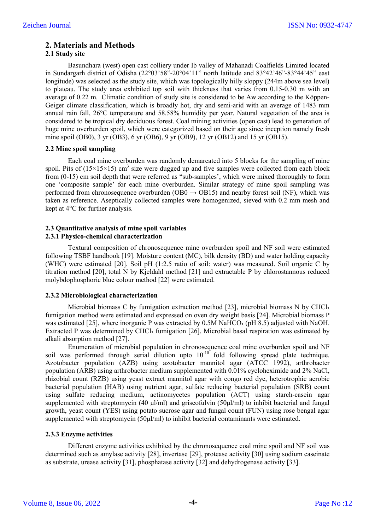# **2. Materials and Methods**

# **2.1 Study site**

Basundhara (west) open cast colliery under Ib valley of Mahanadi Coalfields Limited located in Sundargarh district of Odisha (22°03'58"-20°04'11" north latitude and 83°42'46"-83°44'45" east longitude) was selected as the study site, which was topologically hilly sloppy (244m above sea level) to plateau. The study area exhibited top soil with thickness that varies from 0.15-0.30 m with an average of 0.22 m. Climatic condition of study site is considered to be Aw according to the Köppen-Geiger climate classification, which is broadly hot, dry and semi-arid with an average of 1483 mm annual rain fall, 26°C temperature and 58.58% humidity per year. Natural vegetation of the area is considered to be tropical dry deciduous forest. Coal mining activities (open cast) lead to generation of huge mine overburden spoil, which were categorized based on their age since inception namely fresh mine spoil (OB0), 3 yr (OB3), 6 yr (OB6), 9 yr (OB9), 12 yr (OB12) and 15 yr (OB15).

# **2.2 Mine spoil sampling**

Each coal mine overburden was randomly demarcated into 5 blocks for the sampling of mine spoil. Pits of  $(15\times15\times15)$  cm<sup>3</sup> size were dugged up and five samples were collected from each block from (0-15) cm soil depth that were referred as "sub-samples', which were mixed thoroughly to form one 'composite sample' for each mine overburden. Similar strategy of mine spoil sampling was performed from chronosequence overburden (OB0  $\rightarrow$  OB15) and nearby forest soil (NF), which was taken as reference. Aseptically collected samples were homogenized, sieved with 0.2 mm mesh and kept at 4°C for further analysis.

#### **2.3 Quantitative analysis of mine spoil variables 2.3.1 Physico-chemical characterization**

Textural composition of chronosequence mine overburden spoil and NF soil were estimated following TSBF handbook [19]. Moisture content (MC), bilk density (BD) and water holding capacity (WHC) were estimated [20]. Soil pH (1:2.5 ratio of soil: water) was measured. Soil organic C by titration method [20], total N by Kjeldahl method [21] and extractable P by chlorostannous reduced molybdophosphoric blue colour method [22] were estimated.

# **2.3.2 Microbiological characterization**

Microbial biomass C by fumigation extraction method [23], microbial biomass N by CHCl<sub>3</sub> fumigation method were estimated and expressed on oven dry weight basis [24]. Microbial biomass P was estimated [25], where inorganic P was extracted by  $0.5M$  NaHCO<sub>3</sub> (pH 8.5) adjusted with NaOH. Extracted P was determined by CHCl<sub>3</sub> fumigation  $[26]$ . Microbial basal respiration was estimated by alkali absorption method [27].

Enumeration of microbial population in chronosequence coal mine overburden spoil and NF soil was performed through serial dilution upto  $10^{-10^{-6}}$  fold following spread plate technique. Azotobacter population (AZB) using azotobacter mannitol agar (ATCC 1992), arthrobacter population (ARB) using arthrobacter medium supplemented with 0.01% cycloheximide and 2% NaCl, rhizobial count (RZB) using yeast extract mannitol agar with congo red dye, heterotrophic aerobic bacterial population (HAB) using nutrient agar, sulfate reducing bacterial population (SRB) count using sulfate reducing medium, actinomycetes population (ACT) using starch-casein agar supplemented with streptomycin (40 μl/ml) and griseofulvin (50μl/ml) to inhibit bacterial and fungal growth, yeast count (YES) using potato sucrose agar and fungal count (FUN) using rose bengal agar supplemented with streptomycin (50μl/ml) to inhibit bacterial contaminants were estimated.

# **2.3.3 Enzyme activities**

Different enzyme activities exhibited by the chronosequence coal mine spoil and NF soil was determined such as amylase activity [28], invertase [29], protease activity [30] using sodium caseinate as substrate, urease activity [31], phosphatase activity [32] and dehydrogenase activity [33].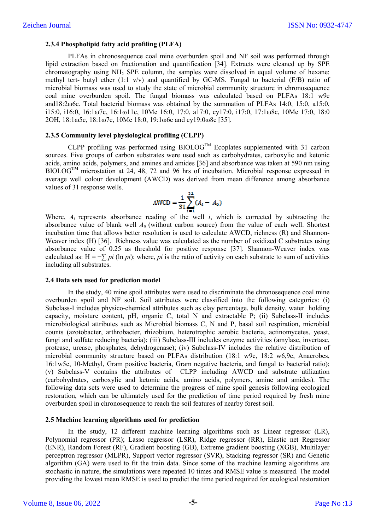### **2.3.4 Phospholipid fatty acid profiling (PLFA)**

PLFAs in chronosequence coal mine overburden spoil and NF soil was performed through lipid extraction based on fractionation and quantification [34]. Extracts were cleaned up by SPE chromatography using  $NH<sub>2</sub>$  SPE column, the samples were dissolved in equal volume of hexane: methyl tert- butyl ether  $(1:1 \text{ y/y})$  and quantified by GC-MS. Fungal to bacterial (F/B) ratio of microbial biomass was used to study the state of microbial community structure in chronosequence coal mine overburden spoil. The fungal biomass was calculated based on PLFAs 18:1 w9c and18:2ω6c. Total bacterial biomass was obtained by the summation of PLFAs 14:0, 15:0, a15:0, i15:0, i16:0, 16:1ω7c, 16:1ω11c, 10Me 16:0, 17:0, a17:0, cy17:0, i17:0, 17:1ω8c, 10Me 17:0, 18:0 2OH, 18:1ω5c, 18:1ω7c, 10Me 18:0, 19:1ω6c and cy19:0ω8c [35].

### **2.3.5 Community level physiological profiling (CLPP)**

CLPP profiling was performed using  $BIOLOG^{TM}$  Ecoplates supplemented with 31 carbon sources. Five groups of carbon substrates were used such as carbohydrates, carboxylic and ketonic acids, amino acids, polymers, and amines and amides [36] and absorbance was taken at 590 nm using BIOLOG<sup>TM</sup> microstation at 24, 48, 72 and 96 hrs of incubation. Microbial response expressed in average well colour development (AWCD) was derived from mean difference among absorbance values of 31 response wells.

$$
AWCD = \frac{1}{31} \sum_{i=1}^{31} (A_i - A_0)
$$

Where,  $A_i$  represents absorbance reading of the well *i*, which is corrected by subtracting the absorbance value of blank well  $A_0$  (without carbon source) from the value of each well. Shortest incubation time that allows better resolution is used to calculate AWCD, richness (R) and Shannon-Weaver index (H) [36]. Richness value was calculated as the number of oxidized C substrates using absorbance value of 0.25 as threshold for positive response [37]. Shannon-Weaver index was calculated as:  $H = -\sum \pi i$  (ln  $\pi i$ ); where,  $\pi i$  is the ratio of activity on each substrate to sum of activities including all substrates.

#### **2.4 Data sets used for prediction model**

In the study, 40 mine spoil attributes were used to discriminate the chronosequence coal mine overburden spoil and NF soil. Soil attributes were classified into the following categories: (i) Subclass-I includes physico-chemical attributes such as clay percentage, bulk density, water holding capacity, moisture content, pH, organic C, total N and extractable P; (ii) Subclass-II includes microbiological attributes such as Microbial biomass C, N and P, basal soil respiration, microbial counts (azotobacter, arthrobacter, rhizobium, heterotrophic aerobic bacteria, actinomycetes, yeast, fungi and sulfate reducing bacteria); (iii) Subclass-III includes enzyme activities (amylase, invertase, protease, urease, phosphates, dehydrogenase); (iv) Subclass-IV includes the relative distribution of microbial community structure based on PLFAs distribution (18:1 w9c, 18:2 w6,9c, Anaerobes, 16:1w5c, 10-Methyl, Gram positive bacteria, Gram negative bacteria, and fungal to bacterial ratio); (v) Subclass-V contains the attributes of CLPP including AWCD and substrate utilization (carbohydrates, carboxylic and ketonic acids, amino acids, polymers, amine and amides). The following data sets were used to determine the progress of mine spoil genesis following ecological restoration, which can be ultimately used for the prediction of time period required by fresh mine overburden spoil in chronosequence to reach the soil features of nearby forest soil.

#### **2.5 Machine learning algorithms used for prediction**

In the study, 12 different machine learning algorithms such as Linear regressor (LR), Polynomial regressor (PR); Lasso regressor (LSR), Ridge regressor (RR), Elastic net Regressor (ENR), Random Forest (RF), Gradient boosting (GB), Extreme gradient boosting (XGB), Multilayer perceptron regressor (MLPR), Support vector regressor (SVR), Stacking regressor (SR) and Genetic algorithm (GA) were used to fit the train data. Since some of the machine learning algorithms are stochastic in nature, the simulations were repeated 10 times and RMSE value is measured. The model providing the lowest mean RMSE is used to predict the time period required for ecological restoration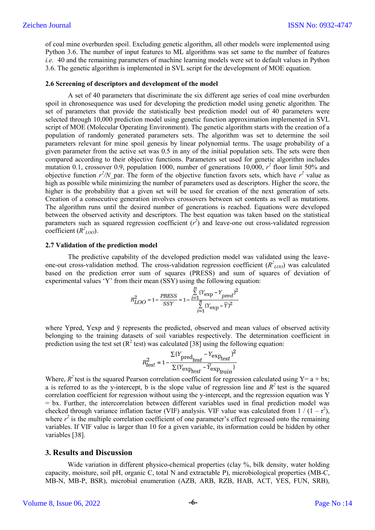of coal mine overburden spoil. Excluding genetic algorithm, all other models were implemented using Python 3.6. The number of input features to ML algorithms was set same to the number of features *i.e.* 40 and the remaining parameters of machine learning models were set to default values in Python 3.6. The genetic algorithm is implemented in SVL script for the development of MOE equation.

#### **2.6 Screening of descriptors and development of the model**

A set of 40 parameters that discriminate the six different age series of coal mine overburden spoil in chronosequence was used for developing the prediction model using genetic algorithm. The set of parameters that provide the statistically best prediction model out of 40 parameters were selected through 10,000 prediction model using genetic function approximation implemented in SVL script of MOE (Molecular Operating Environment). The genetic algorithm starts with the creation of a population of randomly generated parameters sets. The algorithm was set to determine the soil parameters relevant for mine spoil genesis by linear polynomial terms. The usage probability of a given parameter from the active set was 0.5 in any of the initial population sets. The sets were then compared according to their objective functions. Parameters set used for genetic algorithm includes mutation 0.1, crossover 0.9, population 1000, number of generations 10,000,  $r^2$  floor limit 50% and objective function  $r^2/N$  par. The form of the objective function favors sets, which have  $r^2$  value as high as possible while minimizing the number of parameters used as descriptors. Higher the score, the higher is the probability that a given set will be used for creation of the next generation of sets. Creation of a consecutive generation involves crossovers between set contents as well as mutations. The algorithm runs until the desired number of generations is reached. Equations were developed between the observed activity and descriptors. The best equation was taken based on the statistical parameters such as squared regression coefficient  $(r^2)$  and leave-one out cross-validated regression coefficient  $(R^2_{LOO})$ .

#### **2.7 Validation of the prediction model**

The predictive capability of the developed prediction model was validated using the leaveone-out cross-validation method. The cross-validation regression coefficient  $(R^2_{LOO})$  was calculated based on the prediction error sum of squares (PRESS) and sum of squares of deviation of experimental values 'Y' from their mean (SSY) using the following equation:

$$
R_{LOO}^{2} = 1 - \frac{PRESS}{SSY} = 1 - \frac{\sum_{i=1}^{12} (Y_{exp} - Y_{pred})^{2}}{\sum_{i=1}^{12} (Y_{exp} - \overline{Y})^{2}}
$$

where Ypred, Yexp and  $\bar{v}$  represents the predicted, observed and mean values of observed activity belonging to the training datasets of soil variables respectively. The determination coefficient in prediction using the test set  $(R^2 \text{ test})$  was calculated [38] using the following equation:

$$
R_{test}^2 = 1 - \frac{\Sigma (Y_{\text{pred}_{test}} - Y_{\text{exp}_{test}})^2}{\Sigma (Y_{\text{exp}_{test}} - \overline{Y}_{\text{exp}_{train}})}
$$

Where,  $R^2$  test is the squared Pearson correlation coefficient for regression calculated using Y=  $a + bx$ ; a is referred to as the y-intercept, b is the slope value of regression line and  $R^2$  test is the squared correlation coefficient for regression without using the y-intercept, and the regression equation was Y  $=$  bx. Further, the intercorrelation between different variables used in final prediction model was checked through variance inflation factor (VIF) analysis. VIF value was calculated from  $1/(1-r^2)$ , where  $r^2$  is the multiple correlation coefficient of one parameter's effect regressed onto the remaining variables. If VIF value is larger than 10 for a given variable, its information could be hidden by other variables [38].

## **3. Results and Discussion**

Wide variation in different physico-chemical properties (clay %, bilk density, water holding capacity, moisture, soil pH, organic C, total N and extractable P), microbiological properties (MB-C, MB-N, MB-P, BSR), microbial enumeration (AZB, ARB, RZB, HAB, ACT, YES, FUN, SRB),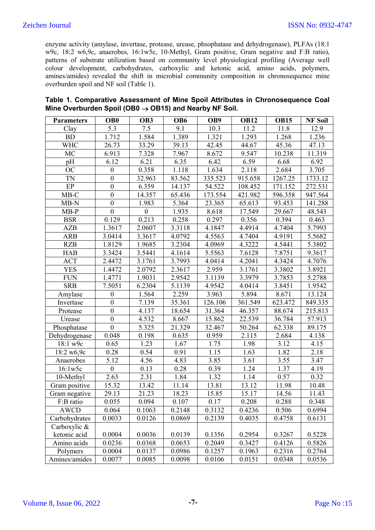enzyme activity (amylase, invertase, protease, urease, phsophatase and dehydrogenase), PLFAs (18:1 w9c, 18:2 w6,9c, anaerobes, 16:1w5c, 10-Methyl, Gram positive, Gram negative and F:B ratio), patterns of substrate utilization based on community level physiological profiling (Average well colour development, carbohydrates, carboxylic and ketonic acid, amino acids, polymers, amines/amides) revealed the shift in microbial community composition in chronosequence mine overburden spoil and NF soil (Table 1).

| Table 1. Comparative Assessment of Mine Spoil Attributes in Chronosequence Coal |  |
|---------------------------------------------------------------------------------|--|
| Mine Overburden Spoil (OB0 $\rightarrow$ OB15) and Nearby NF Soil.              |  |

| <b>Parameters</b> | OB <sub>0</sub>  | OB <sub>3</sub>     | OB <sub>6</sub> | OB9     | <b>OB12</b> | <b>OB15</b> | <b>NF Soil</b> |
|-------------------|------------------|---------------------|-----------------|---------|-------------|-------------|----------------|
| Clay              | 5.3              | 7.5                 | 9.1             | 10.3    | 11.2        | 11.8        | 12.9           |
| <b>BD</b>         | 1.712            | 1.584               | 1.389           | 1.321   | 1.293       | 1.268       | 1.236          |
| <b>WHC</b>        | 26.73            | 33.29               | 39.13           | 42.45   | 44.67       | 45.36       | 47.13          |
| MC                | 6.913            | 7.328               | 7.967           | 8.672   | 9.547       | 10.238      | 11.319         |
| pH                | 6.12             | 6.21                | 6.35            | 6.42    | 6.59        | 6.68        | 6.92           |
| <b>OC</b>         | $\boldsymbol{0}$ | 0.358               | 1.118           | 1.634   | 2.118       | 2.684       | 3.705          |
| <b>TN</b>         | $\mathbf{0}$     | 32.963              | 83.562          | 335.523 | 915.658     | 1267.25     | 1733.12        |
| EP                | $\boldsymbol{0}$ | 6.359               | 14.137          | 54.522  | 108.452     | 171.152     | 272.531        |
| $MB-C$            | $\boldsymbol{0}$ | 14.357              | 65.436          | 173.554 | 421.982     | 596.358     | 947.564        |
| $MB-N$            | $\mathbf{0}$     | 1.983               | 5.364           | 23.365  | 65.613      | 93.453      | 141.288        |
| $MB-P$            | $\boldsymbol{0}$ | $\boldsymbol{0}$    | 1.935           | 8.618   | 17.549      | 29.667      | 48.543         |
| <b>BSR</b>        | 0.129            | 0.213               | 0.258           | 0.297   | 0.356       | 0.394       | 0.463          |
| AZB               | 1.3617           | 2.0607              | 3.3118          | 4.1847  | 4.4914      | 4.7404      | 5.7993         |
| ARB               | 3.0414           | 3.3617              | 4.0792          | 4.5563  | 4.7404      | 4.9191      | 5.5682         |
| <b>RZB</b>        | 1.8129           | $\overline{1.9685}$ | 3.2304          | 4.0969  | 4.3222      | 4.5441      | 5.3802         |
| <b>HAB</b>        | 3.3424           | 3.5441              | 4.1614          | 5.5563  | 7.6128      | 7.8751      | 9.3617         |
| <b>ACT</b>        | 2.4472           | 3.1761              | 3.7993          | 4.0414  | 4.2041      | 4.3424      | 4.7076         |
| <b>YES</b>        | 1.4472           | 2.0792              | 2.3617          | 2.959   | 3.1761      | 3.3802      | 3.8921         |
| <b>FUN</b>        | 1.4771           | $\overline{1.9031}$ | 2.9542          | 3.1139  | 3.3979      | 3.7853      | 5.2788         |
| <b>SRB</b>        | 7.5051           | 6.2304              | 5.1139          | 4.9542  | 4.0414      | 3.8451      | 1.9542         |
| Amylase           | $\boldsymbol{0}$ | 1.564               | 2.259           | 3.963   | 5.894       | 8.671       | 13.124         |
| Invertase         | $\mathbf{0}$     | 7.139               | 35.361          | 126.106 | 361.549     | 623.472     | 849.335        |
| Protease          | $\boldsymbol{0}$ | 4.137               | 18.654          | 31.364  | 46.357      | 88.674      | 215.813        |
| Urease            | $\boldsymbol{0}$ | 4.532               | 8.667           | 15.862  | 22.539      | 36.784      | 57.913         |
| Phosphatase       | $\overline{0}$   | 5.325               | 21.329          | 32.467  | 50.264      | 62.338      | 89.175         |
| Dehydrogenase     | 0.048            | 0.198               | 0.635           | 0.959   | 2.115       | 2.684       | 4.138          |
| 18:1 w9c          | 0.65             | 1.23                | 1.67            | 1.75    | 1.98        | 3.12        | 4.15           |
| 18:2 w6,9c        | 0.28             | 0.54                | 0.91            | 1.15    | 1.63        | 1.82        | 2.18           |
| Anaerobes         | 5.12             | 4.56                | 4.83            | 3.85    | 3.61        | 3.55        | 3.47           |
| 16:1w5c           | $\mathbf{0}$     | 0.13                | 0.28            | 0.39    | 1.24        | 1.37        | 4.19           |
| 10-Methyl         | 2.63             | 2.31                | 1.84            | 1.32    | 1.14        | 0.57        | 0.32           |
| Gram positive     | 15.32            | 13.42               | 11.14           | 13.81   | 13.12       | 11.98       | 10.48          |
| Gram negative     | 29.13            | 21.23               | 18.23           | 15.85   | 15.17       | 14.56       | 11.43          |
| F:B ratio         | 0.055            | 0.094               | 0.107           | 0.17    | 0.208       | 0.288       | 0.348          |
| <b>AWCD</b>       | 0.064            | 0.1063              | 0.2148          | 0.3132  | 0.4236      | 0.506       | 0.6994         |
| Carbohydrates     | 0.0033           | 0.0126              | 0.0869          | 0.2139  | 0.4035      | 0.4758      | 0.6131         |
| Carboxylic &      |                  |                     |                 |         |             |             |                |
| ketonic acid      | 0.0004           | 0.0036              | 0.0139          | 0.1356  | 0.2954      | 0.3267      | 0.5228         |
| Amino acids       | 0.0236           | 0.0368              | 0.0653          | 0.2049  | 0.3427      | 0.4126      | 0.5826         |
| Polymers          | 0.0004           | 0.0137              | 0.0986          | 0.1257  | 0.1963      | 0.2316      | 0.2764         |
| Amines/amides     | 0.0077           | 0.0085              | 0.0098          | 0.0106  | 0.0151      | 0.0348      | 0.0536         |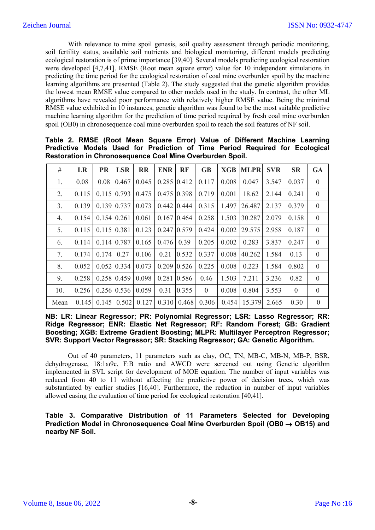With relevance to mine spoil genesis, soil quality assessment through periodic monitoring, soil fertility status, available soil nutrients and biological monitoring, different models predicting ecological restoration is of prime importance [39,40]. Several models predicting ecological restoration were developed [4,7,41]. RMSE (Root mean square error) value for 10 independent simulations in predicting the time period for the ecological restoration of coal mine overburden spoil by the machine learning algorithms are presented (Table 2). The study suggested that the genetic algorithm provides the lowest mean RMSE value compared to other models used in the study. In contrast, the other ML algorithms have revealed poor performance with relatively higher RMSE value. Being the minimal RMSE value exhibited in 10 instances, genetic algorithm was found to be the most suitable predictive machine learning algorithm for the prediction of time period required by fresh coal mine overburden spoil (OB0) in chronosequence coal mine overburden spoil to reach the soil features of NF soil.

| #    | LR    | <b>PR</b>      | <b>LSR</b>              | <b>RR</b> | <b>ENR</b> | <b>RF</b>            | <b>GB</b>      | <b>XGB</b> | <b>MLPR</b>                                                                      | <b>SVR</b> | <b>SR</b>      | <b>GA</b>      |
|------|-------|----------------|-------------------------|-----------|------------|----------------------|----------------|------------|----------------------------------------------------------------------------------|------------|----------------|----------------|
| 1.   | 0.08  | 0.08           | 0.467                   | 0.045     |            | $0.285$ 0.412        | 0.117          | 0.008      | 0.047                                                                            | 3.547      | 0.037          | $\mathbf{0}$   |
| 2.   | 0.115 |                | $0.115$ 0.793           | 0.475     |            | $0.475$ 0.398        | 0.719          | 0.001      | 18.62                                                                            | 2.144      | 0.241          | $\mathbf{0}$   |
| 3.   | 0.139 |                | $0.139$   $0.737$       | 0.073     |            | $0.442$ 0.444        | 0.315          | 1.497      | 26.487                                                                           | 2.137      | 0.379          | $\overline{0}$ |
| 4.   | 0.154 |                | $0.154$   0.261         | 0.061     |            | $0.167$   0.464      | 0.258          | 1.503      | 30.287                                                                           | 2.079      | 0.158          | $\mathbf{0}$   |
| 5.   | 0.115 | $0.115$ 0.381  |                         | 0.123     |            | $0.247$ 0.579 0.424  |                | 0.002      | 29.575                                                                           | 2.958      | 0.187          | $\mathbf{0}$   |
| 6.   | 0.114 |                | $0.114$   0.787         | 0.165     | 0.476      | 0.39                 | 0.205          | 0.002      | 0.283                                                                            | 3.837      | 0.247          | $\overline{0}$ |
| 7.   | 0.174 | $0.174$   0.27 |                         | 0.106     | 0.21       | 0.532                | 0.337          | 0.008      | 40.262                                                                           | 1.584      | 0.13           | $\overline{0}$ |
| 8.   | 0.052 |                | $0.052 \mid 0.334$      | 0.073     |            | $0.209$ 0.526        | 0.225          | 0.008      | 0.223                                                                            | 1.584      | 0.802          | $\overline{0}$ |
| 9.   | 0.258 |                | $0.258$ 0.459           | 0.098     |            | $0.281$ 0.586        | 0.46           | 1.503      | 7.211                                                                            | 3.236      | 0.82           | $\overline{0}$ |
| 10.  | 0.256 |                | $0.256 \,   0.536 \,  $ | 0.059     |            | $0.31 \,   \, 0.355$ | $\overline{0}$ | 0.008      | 0.804                                                                            | 3.553      | $\overline{0}$ | $\overline{0}$ |
| Mean |       |                |                         |           |            |                      |                |            | $0.145$   0.145   0.502   0.127   0.310   0.468   0.306   0.454   15.379   2.665 |            | 0.30           | $\mathbf{0}$   |

**Table 2. RMSE (Root Mean Square Error) Value of Different Machine Learning Predictive Models Used for Prediction of Time Period Required for Ecological Restoration in Chronosequence Coal Mine Overburden Spoil.** 

**NB: LR: Linear Regressor; PR: Polynomial Regressor; LSR: Lasso Regressor; RR: Ridge Regressor; ENR: Elastic Net Regressor; RF: Random Forest; GB: Gradient Boosting; XGB: Extreme Gradient Boosting; MLPR: Multilayer Perceptron Regressor; SVR: Support Vector Regressor; SR: Stacking Regressor; GA: Genetic Algorithm.**

Out of 40 parameters, 11 parameters such as clay, OC, TN, MB-C, MB-N, MB-P, BSR, dehydrogenase, 18:1ω9c, F:B ratio and AWCD were screened out using Genetic algorithm implemented in SVL script for development of MOE equation. The number of input variables was reduced from 40 to 11 without affecting the predictive power of decision trees, which was substantiated by earlier studies [16,40]. Furthermore, the reduction in number of input variables allowed easing the evaluation of time period for ecological restoration [40,41].

**Table 3. Comparative Distribution of 11 Parameters Selected for Developing Prediction Model in Chronosequence Coal Mine Overburden Spoil (OB0 OB15) and nearby NF Soil.**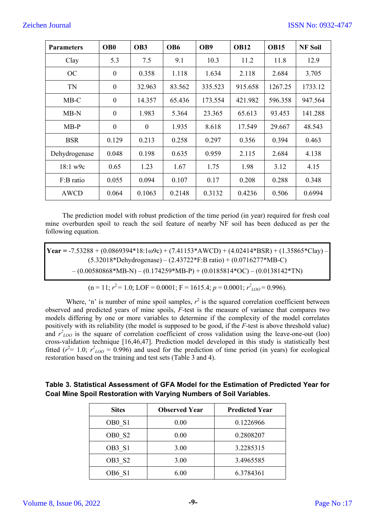| <b>Parameters</b> | OB <sub>0</sub>  | OB <sub>3</sub>  | OB <sub>6</sub> | OB9     | <b>OB12</b> | <b>OB15</b> | <b>NF Soil</b> |
|-------------------|------------------|------------------|-----------------|---------|-------------|-------------|----------------|
| Clay              | 5.3              | 7.5              | 9.1             | 10.3    | 11.2        | 11.8        | 12.9           |
| OC                | $\theta$         | 0.358            | 1.118           | 1.634   | 2.118       | 2.684       | 3.705          |
| <b>TN</b>         | $\boldsymbol{0}$ | 32.963           | 83.562          | 335.523 | 915.658     | 1267.25     | 1733.12        |
| $MB-C$            | $\boldsymbol{0}$ | 14.357           | 65.436          | 173.554 | 421.982     | 596.358     | 947.564        |
| $MB-N$            | $\overline{0}$   | 1.983            | 5.364           | 23.365  | 65.613      | 93.453      | 141.288        |
| $MB-P$            | $\boldsymbol{0}$ | $\boldsymbol{0}$ | 1.935           | 8.618   | 17.549      | 29.667      | 48.543         |
| <b>BSR</b>        | 0.129            | 0.213            | 0.258           | 0.297   | 0.356       | 0.394       | 0.463          |
| Dehydrogenase     | 0.048            | 0.198            | 0.635           | 0.959   | 2.115       | 2.684       | 4.138          |
| 18:1 w9c          | 0.65             | 1.23             | 1.67            | 1.75    | 1.98        | 3.12        | 4.15           |
| F:B ratio         | 0.055            | 0.094            | 0.107           | 0.17    | 0.208       | 0.288       | 0.348          |
| AWCD              | 0.064            | 0.1063           | 0.2148          | 0.3132  | 0.4236      | 0.506       | 0.6994         |

The prediction model with robust prediction of the time period (in year) required for fresh coal mine overburden spoil to reach the soil feature of nearby NF soil has been deduced as per the following equation.

**Year = -7.53288** + (0.0869394\*18:1ω9c) + (7.41153\*AWCD) + (4.02414\*BSR) + (1.35865\*Clay) -(5.32018\*Dehydrogenase) – (2.43722\*F:B ratio) + (0.0716277\*MB-C)  $-(0.00580868*MB-N) - (0.174259*MB-P) + (0.0185814*OC) - (0.0138142*TN)$ 

$$
(n = 11; r2 = 1.0; LOF = 0.0001; F = 1615.4; p = 0.0001; r2_{LOO} = 0.996).
$$

Where, 'n' is number of mine spoil samples,  $r^2$  is the squared correlation coefficient between observed and predicted years of mine spoils, *F*-test is the measure of variance that compares two models differing by one or more variables to determine if the complexity of the model correlates positively with its reliability (the model is supposed to be good, if the *F*-test is above threshold value) and  $r^2_{LOO}$  is the square of correlation coefficient of cross validation using the leave-one-out (loo) cross-validation technique [16,46,47]. Prediction model developed in this study is statistically best fitted ( $r^2$ = 1.0;  $r^2_{100}$  = 0.996) and used for the prediction of time period (in years) for ecological restoration based on the training and test sets (Table 3 and 4).

# **Table 3. Statistical Assessment of GFA Model for the Estimation of Predicted Year for Coal Mine Spoil Restoration with Varying Numbers of Soil Variables.**

| <b>Sites</b>                   | <b>Observed Year</b> | <b>Predicted Year</b> |
|--------------------------------|----------------------|-----------------------|
| OB <sub>0</sub> S <sub>1</sub> | 0.00                 | 0.1226966             |
| OB <sub>0</sub> S <sub>2</sub> | 0.00                 | 0.2808207             |
| OB3 S1                         | 3.00                 | 3.2285315             |
| OB3 S2                         | 3.00                 | 3.4965585             |
| OB6 S1                         | 6.00                 | 6.3784361             |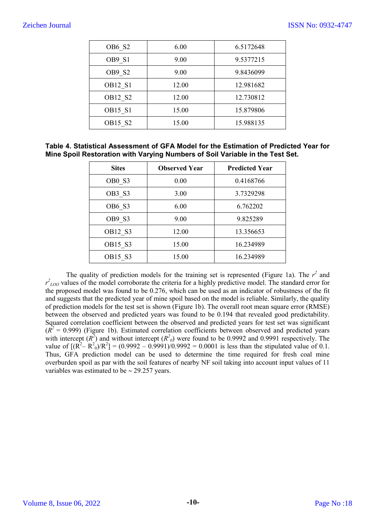| OB6 S2                          | 6.00  | 6.5172648 |
|---------------------------------|-------|-----------|
| OB9 S1                          | 9.00  | 9.5377215 |
| OB9 S2                          | 9.00  | 9.8436099 |
| <b>OB12 S1</b>                  | 12.00 | 12.981682 |
| OB12 S2                         | 12.00 | 12.730812 |
| <b>OB15 S1</b>                  | 15.00 | 15.879806 |
| OB <sub>15</sub> S <sub>2</sub> | 15.00 | 15.988135 |

# **Table 4. Statistical Assessment of GFA Model for the Estimation of Predicted Year for Mine Spoil Restoration with Varying Numbers of Soil Variable in the Test Set.**

| <b>Sites</b> | <b>Observed Year</b> | <b>Predicted Year</b> |
|--------------|----------------------|-----------------------|
| OB0 S3       | 0.00                 | 0.4168766             |
| OB3 S3       | 3.00                 | 3.7329298             |
| OB6 S3       | 6.00                 | 6.762202              |
| OB9 S3       | 9.00                 | 9.825289              |
| OB12 S3      | 12.00                | 13.356653             |
| OB15 S3      | 15.00                | 16.234989             |
| OB15 S3      | 15.00                | 16.234989             |

The quality of prediction models for the training set is represented (Figure 1a). The  $r^2$  and  $r^2_{\text{LOO}}$  values of the model corroborate the criteria for a highly predictive model. The standard error for the proposed model was found to be 0.276, which can be used as an indicator of robustness of the fit and suggests that the predicted year of mine spoil based on the model is reliable. Similarly, the quality of prediction models for the test set is shown (Figure 1b). The overall root mean square error (RMSE) between the observed and predicted years was found to be 0.194 that revealed good predictability. Squared correlation coefficient between the observed and predicted years for test set was significant  $(R^2 = 0.999)$  (Figure 1b). Estimated correlation coefficients between observed and predicted years with intercept  $(R^2)$  and without intercept  $(R^2)$  were found to be 0.9992 and 0.9991 respectively. The value of  $[(R^2 - R^2)/R^2] = (0.9992 - 0.9991)/0.9992 = 0.0001$  is less than the stipulated value of 0.1. Thus, GFA prediction model can be used to determine the time required for fresh coal mine overburden spoil as par with the soil features of nearby NF soil taking into account input values of 11 variables was estimated to be  $\sim$  29.257 years.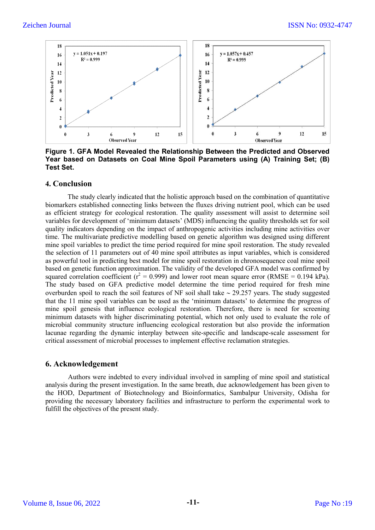

**Figure 1. GFA Model Revealed the Relationship Between the Predicted and Observed Year based on Datasets on Coal Mine Spoil Parameters using (A) Training Set; (B) Test Set.** 

### **4. Conclusion**

The study clearly indicated that the holistic approach based on the combination of quantitative biomarkers established connecting links between the fluxes driving nutrient pool, which can be used as efficient strategy for ecological restoration. The quality assessment will assist to determine soil variables for development of 'minimum datasets' (MDS) influencing the quality thresholds set for soil quality indicators depending on the impact of anthropogenic activities including mine activities over time. The multivariate predictive modelling based on genetic algorithm was designed using different mine spoil variables to predict the time period required for mine spoil restoration. The study revealed the selection of 11 parameters out of 40 mine spoil attributes as input variables, which is considered as powerful tool in predicting best model for mine spoil restoration in chronosequence coal mine spoil based on genetic function approximation. The validity of the developed GFA model was confirmed by squared correlation coefficient ( $r^2 = 0.999$ ) and lower root mean square error (RMSE = 0.194 kPa). The study based on GFA predictive model determine the time period required for fresh mine overburden spoil to reach the soil features of NF soil shall take  $\sim$  29.257 years. The study suggested that the 11 mine spoil variables can be used as the 'minimum datasets' to determine the progress of mine spoil genesis that influence ecological restoration. Therefore, there is need for screening minimum datasets with higher discriminating potential, which not only used to evaluate the role of microbial community structure influencing ecological restoration but also provide the information lacunae regarding the dynamic interplay between site-specific and landscape-scale assessment for critical assessment of microbial processes to implement effective reclamation strategies.

## **6. Acknowledgement**

Authors were indebted to every individual involved in sampling of mine spoil and statistical analysis during the present investigation. In the same breath, due acknowledgement has been given to the HOD, Department of Biotechnology and Bioinformatics, Sambalpur University, Odisha for providing the necessary laboratory facilities and infrastructure to perform the experimental work to fulfill the objectives of the present study.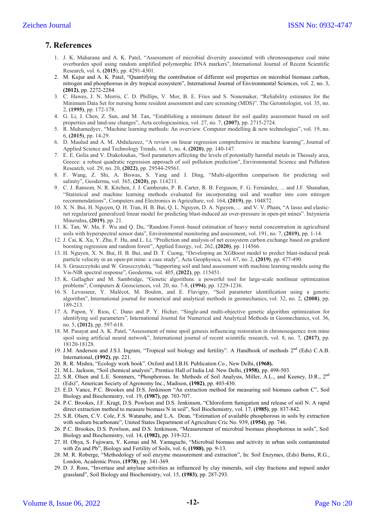# **7. References**

- 1. J. K. Maharana and A. K. Patel, "Assessment of microbial diversity associated with chronosequence coal mine overburden spoil using random amplified polymorphic DNA markers", International Journal of Recent Scientific Research, vol. 6, **(2015**), pp. 4291-4301.
- 2. M. Kujur and A. K. Patel, "Quantifying the contribution of different soil properties on microbial biomass carbon, nitrogen and phosphorous in dry tropical ecosystem", International Journal of Environmental Sciences, vol. 2, no. 3, **(2012)**, pp. 2272-2284.
- 3. C. Hawes, J. N. Morris, C. D. Phillips, V. Mor, B. E. Fries and S. Nonemaker, "Reliability estimates for the Minimum Data Set for nursing home resident assessment and care screening (MDS)". The Gerontologist, vol. 35, no. 2, **(1995)**, pp. 172-178.
- 4. G. Li, J. Chen, Z. Sun, and M. Tan, "Establishing a minimum dataset for soil quality assessment based on soil properties and land-use changes", Acta ecologicasinica, vol. 27, no. 7, **(2007)**, pp. 2715-2724.
- 5. R. Muhamedyev, "Machine learning methods: An overview. Computer modelling & new technologies", vol. 19, no. 6, **(2015)**, pp. 14-29.
- 6. D. Maulud and A. M. Abdulazeez, "A review on linear regression comprehensive in machine learning", Journal of Applied Science and Technology Trends, vol. 1, no. 4, **(2020)**, pp. 140-147.
- 7. E. E. Golia and V. Diakoloukas, "Soil parameters affecting the levels of potentially harmful metals in Thessaly area, Greece: a robust quadratic regression approach of soil pollution prediction", Environmental Science and Pollution Research, vol. 29, no. 20, **(2022)**, pp. 29544-29561.
- 8. F. Wang, Z. Shi, A. Biswas, S. Yang and J. Ding, "Multi-algorithm comparison for predicting soil salinity", Geoderma, vol. 365, **(2020)**, pp. 114211.
- 9. C. J. Ransom, N. R. Kitchen, J. J. Camberato, P. R. Carter, R. B. Ferguson, F. G. Fernández, ... and J.F. Shanahan, "Statistical and machine learning methods evaluated for incorporating soil and weather into corn nitrogen recommendations", Computers and Electronics in Agriculture, vol. 164, **(2019)**, pp. 104872.
- 10. X. N. Bui, H. Nguyen, Q. H. Tran, H. B. Bui, Q. L. Nguyen, D. A. Nguyen, ... and V. V. Pham, "A lasso and elasticnet regularized generalized linear model for predicting blast-induced air over-pressure in open-pit mines". Inżynieria Mineralna, **(2019)**, pp. 21.
- 11. K. Tan, W. Ma, F. Wu and Q. Du, "Random Forest–based estimation of heavy metal concentration in agricultural soils with hyperspectral sensor data", Environmental monitoring and assessment, vol. 191, no. 7, **(2019)**, pp. 1-14.
- 12. J. Cai, K. Xu, Y. Zhu, F. Hu, and L. Li, "Prediction and analysis of net ecosystem carbon exchange based on gradient boosting regression and random forest", Applied Energy, vol. 262, **(2020)**, pp. 114566.
- 13. H. Nguyen, X. N. Bui, H. B. Bui, and D. T. Cuong, "Developing an XGBoost model to predict blast-induced peak particle velocity in an open-pit mine: a case study", Acta Geophysica, vol. 67, no. 2, **(2019)**, pp. 477-490.
- 14. S. Gruszczyński and W. Gruszczyński, "Supporting soil and land assessment with machine learning models using the Vis-NIR spectral response", Geoderma, vol. 405, **(2022)**, pp. 115451.
- 15. K. Gallagher and M. Sambridge, "Genetic algorithms: a powerful tool for large-scale nonlinear optimization problems", Computers & Geosciences, vol. 20, no. 7-8, **(1994)**, pp. 1229-1236.
- 16. S. Levasseur, Y. Malécot, M. Boulon, and E. Flavigny, "Soil parameter identification using a genetic algorithm", International journal for numerical and analytical methods in geomechanics, vol. 32, no. 2, **(2008)**, pp. 189-213.
- 17. A. Papon, Y. Riou, C. Dano and P. Y. Hicher, "Single‐and multi‐objective genetic algorithm optimization for identifying soil parameters", International Journal for Numerical and Analytical Methods in Geomechanics, vol. 36, no. 5, **(2012)**, pp. 597-618.
- 18. M. Pasayat and A. K. Patel, "Assessment of mine spoil genesis influencing restoration in chronosequence iron mine spoil using artificial neural network", International journal of recent scientific research, vol. 8, no. 7, **(2017)**, pp. 18120-18128.
- 19. J.M. Anderson and J.S.I. Ingram, "Tropical soil biology and fertility". A Handbook of methods 2<sup>nd</sup> (Eds) C.A.B. International, **(1992)**, pp. 221.
- 20. R. R. Mishra, "Ecology work book". Oxford and I.B.H. Publication Co., New Delhi, **(1968).**
- 21. M.L. Jackson, "Soil chemical analysis", Prentice Hall of India Ltd. New Delhi, **(1958)**, pp. 498-503.
- 22. S.R. Olsen and L.E. Sommers, "Phosphorous. In: Methods of Soil Analysis, Miller, A.L., and Keeney, D.R., 2<sup>nd</sup> (Eds)", American Society of Agronomy Inc., Madison, **(1982)**, pp. 403-430.
- 23. E.D. Vance, P.C. Brookes and D.S. Jenkinson "An extraction method for measuring soil biomass carbon C", Soil Biology and Biochemistry, vol. 19, **(1987)**, pp. 703-707.
- 24. P.C. Brookes, J.F. Kragt, D.S. Powlson and D.S. Jenkinson, "Chloroform fumigation and release of soil N: A rapid direct extraction method to measure biomass N in soil", Soil Biochemistry, vol. 17, **(1985)**, pp. 837-842.
- 25. S.R. Olsen, C.V. Cole, F.S. Watanabe, and L.A. Dean, "Estimation of available phosphorous in soils by extraction with sodium bicarbonate", United States Department of Agriculture Cric No. 939, **(1954)**, pp. 746.
- 26. P.C. Brookes, D.S. Powlson, and D.S. Jenkinson, "Measurement of microbial biomass phosphorous in soils", Soil Biology and Biochemistry, vol. 14, **(1982)**, pp. 319-321.
- 27. H. Ohya, S. Fujiwara, Y. Komai and M. Yamaguchi, "Microbial biomass and activity in urban soils contaminated with Zn and Pb", Biology and Fertility of Soils, vol. 6, **(1988)**, pp. 9-13.
- 28. M. R. Roberge, "Methodology of soil enzyme measurement and extraction", In: Soil Enzymes, (Eds) Burns, R.G., London, Academic Press, **(1978)**, pp. 341-369.
- 29. D. J. Ross, "Invertase and amylase activities as influenced by clay minerals, soil clay fractions and topsoil under grassland", Soil Biology and Biochemistry, vol. 15, **(1983)**, pp. 287-293.